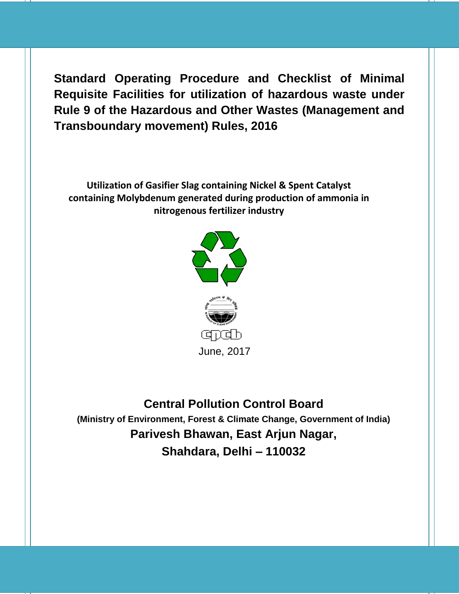**Standard Operating Procedure and Checklist of Minimal Requisite Facilities for utilization of hazardous waste under Rule 9 of the Hazardous and Other Wastes (Management and Transboundary movement) Rules, 2016**

**Utilization of Gasifier Slag containing Nickel & Spent Catalyst containing Molybdenum generated during production of ammonia in nitrogenous fertilizer industry**



**Central Pollution Control Board (Ministry of Environment, Forest & Climate Change, Government of India) Parivesh Bhawan, East Arjun Nagar, Shahdara, Delhi – 110032**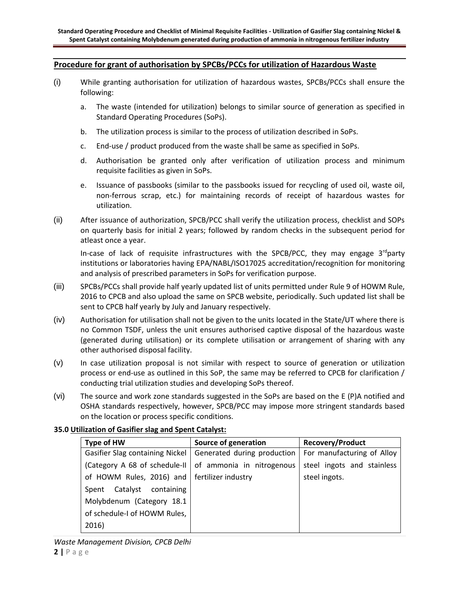## **Procedure for grant of authorisation by SPCBs/PCCs for utilization of Hazardous Waste**

- (i) While granting authorisation for utilization of hazardous wastes, SPCBs/PCCs shall ensure the following:
	- a. The waste (intended for utilization) belongs to similar source of generation as specified in Standard Operating Procedures (SoPs).
	- b. The utilization process is similar to the process of utilization described in SoPs.
	- c. End-use / product produced from the waste shall be same as specified in SoPs.
	- d. Authorisation be granted only after verification of utilization process and minimum requisite facilities as given in SoPs.
	- e. Issuance of passbooks (similar to the passbooks issued for recycling of used oil, waste oil, non-ferrous scrap, etc.) for maintaining records of receipt of hazardous wastes for utilization.
- (ii) After issuance of authorization, SPCB/PCC shall verify the utilization process, checklist and SOPs on quarterly basis for initial 2 years; followed by random checks in the subsequent period for atleast once a year.

In-case of lack of requisite infrastructures with the SPCB/PCC, they may engage 3<sup>rd</sup>party institutions or laboratories having EPA/NABL/ISO17025 accreditation/recognition for monitoring and analysis of prescribed parameters in SoPs for verification purpose.

- (iii) SPCBs/PCCs shall provide half yearly updated list of units permitted under Rule 9 of HOWM Rule, 2016 to CPCB and also upload the same on SPCB website, periodically. Such updated list shall be sent to CPCB half yearly by July and January respectively.
- (iv) Authorisation for utilisation shall not be given to the units located in the State/UT where there is no Common TSDF, unless the unit ensures authorised captive disposal of the hazardous waste (generated during utilisation) or its complete utilisation or arrangement of sharing with any other authorised disposal facility.
- (v) In case utilization proposal is not similar with respect to source of generation or utilization process or end-use as outlined in this SoP, the same may be referred to CPCB for clarification / conducting trial utilization studies and developing SoPs thereof.
- (vi) The source and work zone standards suggested in the SoPs are based on the E (P)A notified and OSHA standards respectively, however, SPCB/PCC may impose more stringent standards based on the location or process specific conditions.

## **35.0 Utilization of Gasifier slag and Spent Catalyst:**

| Type of HW                                     | Source of generation                                     | <b>Recovery/Product</b>    |
|------------------------------------------------|----------------------------------------------------------|----------------------------|
| Gasifier Slag containing Nickel                | Generated during production   For manufacturing of Alloy |                            |
| (Category A 68 of schedule-II)                 | of ammonia in nitrogenous                                | steel ingots and stainless |
| of HOWM Rules, 2016) and   fertilizer industry |                                                          | steel ingots.              |
| Catalyst<br>containing<br>Spent                |                                                          |                            |
| Molybdenum (Category 18.1                      |                                                          |                            |
| of schedule-I of HOWM Rules,                   |                                                          |                            |
| 2016)                                          |                                                          |                            |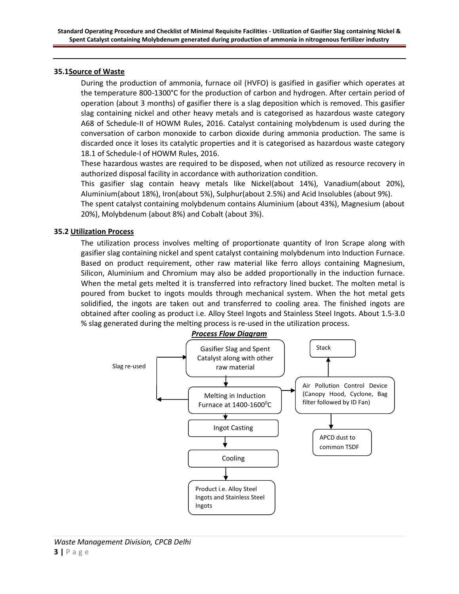## **35.1Source of Waste**

During the production of ammonia, furnace oil (HVFO) is gasified in gasifier which operates at the temperature 800-1300°C for the production of carbon and hydrogen. After certain period of operation (about 3 months) of gasifier there is a slag deposition which is removed. This gasifier slag containing nickel and other heavy metals and is categorised as hazardous waste category A68 of Schedule-II of HOWM Rules, 2016. Catalyst containing molybdenum is used during the conversation of carbon monoxide to carbon dioxide during ammonia production. The same is discarded once it loses its catalytic properties and it is categorised as hazardous waste category 18.1 of Schedule-I of HOWM Rules, 2016.

These hazardous wastes are required to be disposed, when not utilized as resource recovery in authorized disposal facility in accordance with authorization condition.

This gasifier slag contain heavy metals like Nickel(about 14%), Vanadium(about 20%), Aluminium(about 18%), Iron(about 5%), Sulphur(about 2.5%) and Acid Insolubles (about 9%).

The spent catalyst containing molybdenum contains Aluminium (about 43%), Magnesium (about 20%), Molybdenum (about 8%) and Cobalt (about 3%).

## **35.2 Utilization Process**

The utilization process involves melting of proportionate quantity of Iron Scrape along with gasifier slag containing nickel and spent catalyst containing molybdenum into Induction Furnace. Based on product requirement, other raw material like ferro alloys containing Magnesium, Silicon, Aluminium and Chromium may also be added proportionally in the induction furnace. When the metal gets melted it is transferred into refractory lined bucket. The molten metal is poured from bucket to ingots moulds through mechanical system. When the hot metal gets solidified, the ingots are taken out and transferred to cooling area. The finished ingots are obtained after cooling as product i.e. Alloy Steel Ingots and Stainless Steel Ingots. About 1.5-3.0 % slag generated during the melting process is re-used in the utilization process.

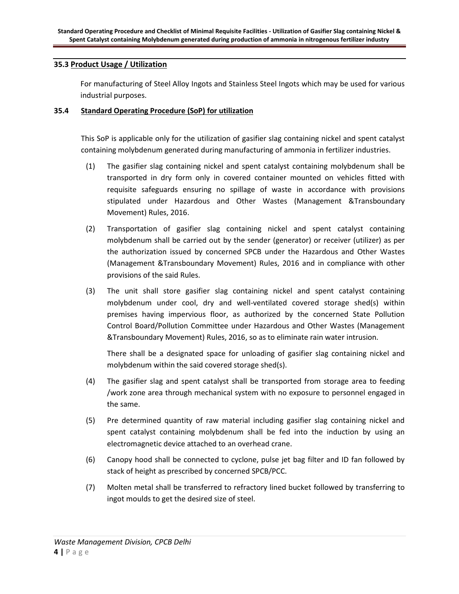# **35.3 Product Usage / Utilization**

For manufacturing of Steel Alloy Ingots and Stainless Steel Ingots which may be used for various industrial purposes.

## **35.4 Standard Operating Procedure (SoP) for utilization**

This SoP is applicable only for the utilization of gasifier slag containing nickel and spent catalyst containing molybdenum generated during manufacturing of ammonia in fertilizer industries.

- (1) The gasifier slag containing nickel and spent catalyst containing molybdenum shall be transported in dry form only in covered container mounted on vehicles fitted with requisite safeguards ensuring no spillage of waste in accordance with provisions stipulated under Hazardous and Other Wastes (Management &Transboundary Movement) Rules, 2016.
- (2) Transportation of gasifier slag containing nickel and spent catalyst containing molybdenum shall be carried out by the sender (generator) or receiver (utilizer) as per the authorization issued by concerned SPCB under the Hazardous and Other Wastes (Management &Transboundary Movement) Rules, 2016 and in compliance with other provisions of the said Rules.
- (3) The unit shall store gasifier slag containing nickel and spent catalyst containing molybdenum under cool, dry and well-ventilated covered storage shed(s) within premises having impervious floor, as authorized by the concerned State Pollution Control Board/Pollution Committee under Hazardous and Other Wastes (Management &Transboundary Movement) Rules, 2016, so as to eliminate rain water intrusion.

There shall be a designated space for unloading of gasifier slag containing nickel and molybdenum within the said covered storage shed(s).

- (4) The gasifier slag and spent catalyst shall be transported from storage area to feeding /work zone area through mechanical system with no exposure to personnel engaged in the same.
- (5) Pre determined quantity of raw material including gasifier slag containing nickel and spent catalyst containing molybdenum shall be fed into the induction by using an electromagnetic device attached to an overhead crane.
- (6) Canopy hood shall be connected to cyclone, pulse jet bag filter and ID fan followed by stack of height as prescribed by concerned SPCB/PCC.
- (7) Molten metal shall be transferred to refractory lined bucket followed by transferring to ingot moulds to get the desired size of steel.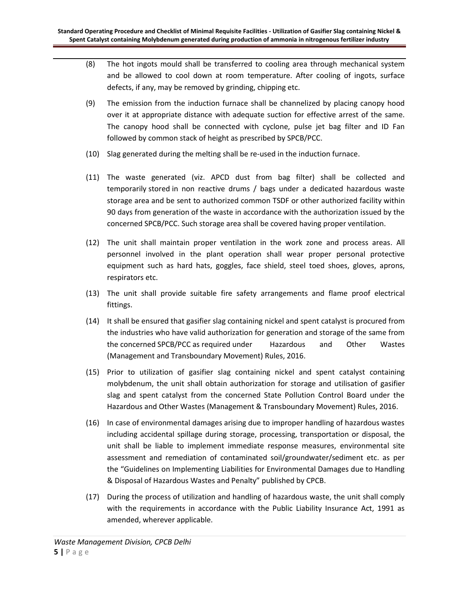- (8) The hot ingots mould shall be transferred to cooling area through mechanical system and be allowed to cool down at room temperature. After cooling of ingots, surface defects, if any, may be removed by grinding, chipping etc.
- (9) The emission from the induction furnace shall be channelized by placing canopy hood over it at appropriate distance with adequate suction for effective arrest of the same. The canopy hood shall be connected with cyclone, pulse jet bag filter and ID Fan followed by common stack of height as prescribed by SPCB/PCC.
- (10) Slag generated during the melting shall be re-used in the induction furnace.
- (11) The waste generated (viz. APCD dust from bag filter) shall be collected and temporarily stored in non reactive drums / bags under a dedicated hazardous waste storage area and be sent to authorized common TSDF or other authorized facility within 90 days from generation of the waste in accordance with the authorization issued by the concerned SPCB/PCC. Such storage area shall be covered having proper ventilation.
- (12) The unit shall maintain proper ventilation in the work zone and process areas. All personnel involved in the plant operation shall wear proper personal protective equipment such as hard hats, goggles, face shield, steel toed shoes, gloves, aprons, respirators etc.
- (13) The unit shall provide suitable fire safety arrangements and flame proof electrical fittings.
- (14) It shall be ensured that gasifier slag containing nickel and spent catalyst is procured from the industries who have valid authorization for generation and storage of the same from the concerned SPCB/PCC as required under Hazardous and Other Wastes (Management and Transboundary Movement) Rules, 2016.
- (15) Prior to utilization of gasifier slag containing nickel and spent catalyst containing molybdenum, the unit shall obtain authorization for storage and utilisation of gasifier slag and spent catalyst from the concerned State Pollution Control Board under the Hazardous and Other Wastes (Management & Transboundary Movement) Rules, 2016.
- (16) In case of environmental damages arising due to improper handling of hazardous wastes including accidental spillage during storage, processing, transportation or disposal, the unit shall be liable to implement immediate response measures, environmental site assessment and remediation of contaminated soil/groundwater/sediment etc. as per the "Guidelines on Implementing Liabilities for Environmental Damages due to Handling & Disposal of Hazardous Wastes and Penalty" published by CPCB.
- (17) During the process of utilization and handling of hazardous waste, the unit shall comply with the requirements in accordance with the Public Liability Insurance Act, 1991 as amended, wherever applicable.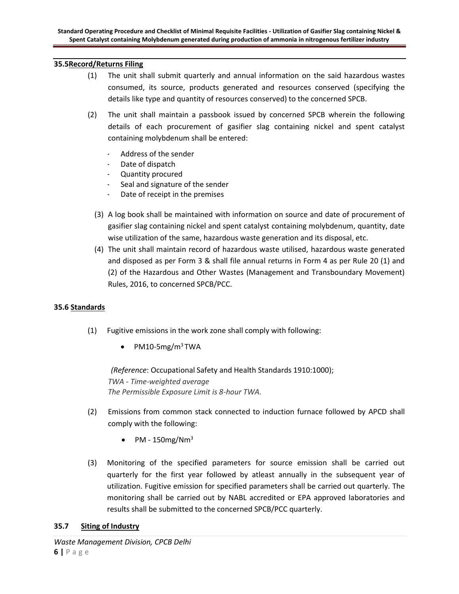## **35.5Record/Returns Filing**

- (1) The unit shall submit quarterly and annual information on the said hazardous wastes consumed, its source, products generated and resources conserved (specifying the details like type and quantity of resources conserved) to the concerned SPCB.
- (2) The unit shall maintain a passbook issued by concerned SPCB wherein the following details of each procurement of gasifier slag containing nickel and spent catalyst containing molybdenum shall be entered:
	- Address of the sender
	- Date of dispatch
	- Quantity procured
	- Seal and signature of the sender
	- Date of receipt in the premises
	- (3) A log book shall be maintained with information on source and date of procurement of gasifier slag containing nickel and spent catalyst containing molybdenum, quantity, date wise utilization of the same, hazardous waste generation and its disposal, etc.
	- (4) The unit shall maintain record of hazardous waste utilised, hazardous waste generated and disposed as per Form 3 & shall file annual returns in Form 4 as per Rule 20 (1) and (2) of the Hazardous and Other Wastes (Management and Transboundary Movement) Rules, 2016, to concerned SPCB/PCC.

# **35.6 Standards**

- (1) Fugitive emissions in the work zone shall comply with following:
	- PM10-5mg/m<sup>3</sup>TWA

*(Reference*: Occupational Safety and Health Standards 1910:1000); *TWA - Time-weighted average The Permissible Exposure Limit is 8-hour TWA.*

- (2) Emissions from common stack connected to induction furnace followed by APCD shall comply with the following:
	- PM  $150$ mg/Nm<sup>3</sup>
- (3) Monitoring of the specified parameters for source emission shall be carried out quarterly for the first year followed by atleast annually in the subsequent year of utilization. Fugitive emission for specified parameters shall be carried out quarterly. The monitoring shall be carried out by NABL accredited or EPA approved laboratories and results shall be submitted to the concerned SPCB/PCC quarterly.

## **35.7 Siting of Industry**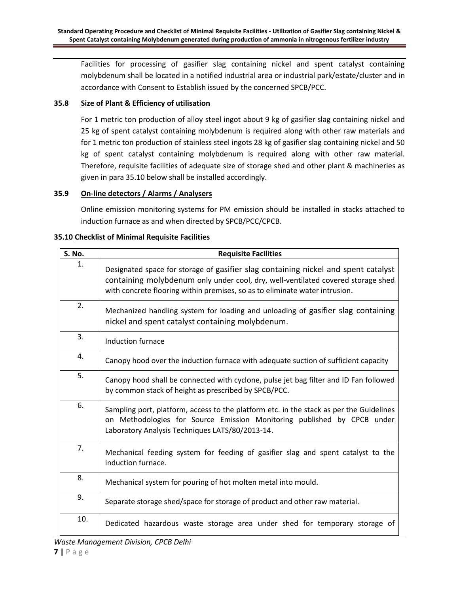Facilities for processing of gasifier slag containing nickel and spent catalyst containing molybdenum shall be located in a notified industrial area or industrial park/estate/cluster and in accordance with Consent to Establish issued by the concerned SPCB/PCC.

# **35.8 Size of Plant & Efficiency of utilisation**

For 1 metric ton production of alloy steel ingot about 9 kg of gasifier slag containing nickel and 25 kg of spent catalyst containing molybdenum is required along with other raw materials and for 1 metric ton production of stainless steel ingots 28 kg of gasifier slag containing nickel and 50 kg of spent catalyst containing molybdenum is required along with other raw material. Therefore, requisite facilities of adequate size of storage shed and other plant & machineries as given in para 35.10 below shall be installed accordingly.

# **35.9 On-line detectors / Alarms / Analysers**

Online emission monitoring systems for PM emission should be installed in stacks attached to induction furnace as and when directed by SPCB/PCC/CPCB.

# **35.10 Checklist of Minimal Requisite Facilities**

| S. No. | <b>Requisite Facilities</b>                                                                                                                                                                                                                           |  |
|--------|-------------------------------------------------------------------------------------------------------------------------------------------------------------------------------------------------------------------------------------------------------|--|
| 1.     | Designated space for storage of gasifier slag containing nickel and spent catalyst<br>containing molybdenum only under cool, dry, well-ventilated covered storage shed<br>with concrete flooring within premises, so as to eliminate water intrusion. |  |
| 2.     | Mechanized handling system for loading and unloading of gasifier slag containing<br>nickel and spent catalyst containing molybdenum.                                                                                                                  |  |
| 3.     | Induction furnace                                                                                                                                                                                                                                     |  |
| 4.     | Canopy hood over the induction furnace with adequate suction of sufficient capacity                                                                                                                                                                   |  |
| 5.     | Canopy hood shall be connected with cyclone, pulse jet bag filter and ID Fan followed<br>by common stack of height as prescribed by SPCB/PCC.                                                                                                         |  |
| 6.     | Sampling port, platform, access to the platform etc. in the stack as per the Guidelines<br>on Methodologies for Source Emission Monitoring published by CPCB under<br>Laboratory Analysis Techniques LATS/80/2013-14.                                 |  |
| 7.     | Mechanical feeding system for feeding of gasifier slag and spent catalyst to the<br>induction furnace.                                                                                                                                                |  |
| 8.     | Mechanical system for pouring of hot molten metal into mould.                                                                                                                                                                                         |  |
| 9.     | Separate storage shed/space for storage of product and other raw material.                                                                                                                                                                            |  |
| 10.    | Dedicated hazardous waste storage area under shed for temporary storage of                                                                                                                                                                            |  |